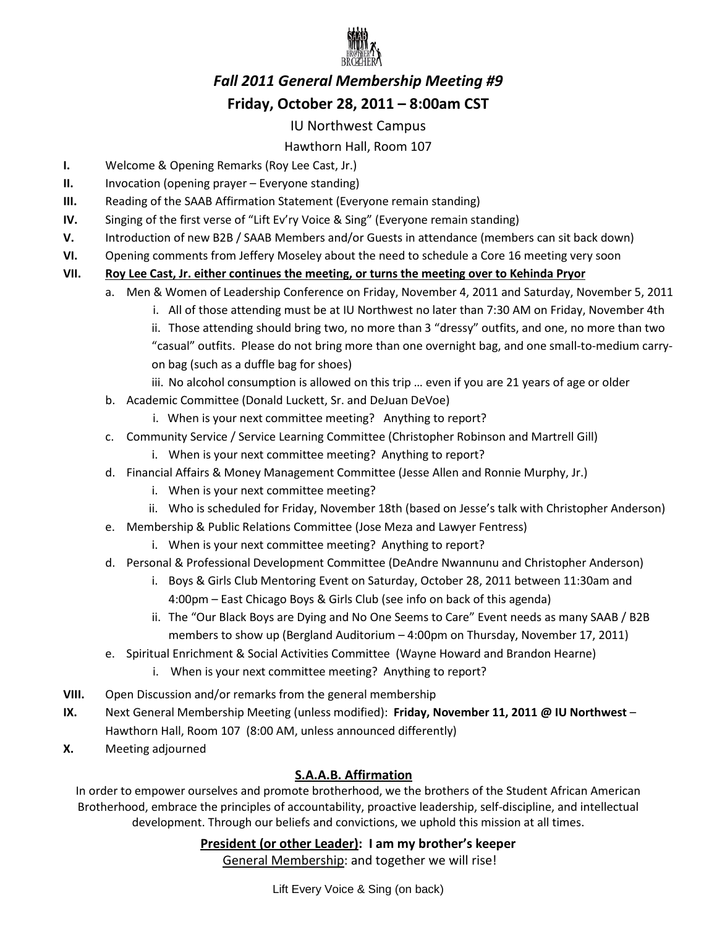

# *Fall 2011 General Membership Meeting #9*  **Friday, October 28, 2011 – 8:00am CST**

### IU Northwest Campus

# Hawthorn Hall, Room 107

- **I.** Welcome & Opening Remarks (Roy Lee Cast, Jr.)
- **II.** Invocation (opening prayer Everyone standing)
- **III.** Reading of the SAAB Affirmation Statement (Everyone remain standing)
- **IV.** Singing of the first verse of "Lift Ev'ry Voice & Sing" (Everyone remain standing)
- **V.** Introduction of new B2B / SAAB Members and/or Guests in attendance (members can sit back down)
- **VI.** Opening comments from Jeffery Moseley about the need to schedule a Core 16 meeting very soon

#### **VII. Roy Lee Cast, Jr. either continues the meeting, or turns the meeting over to Kehinda Pryor**

- a. Men & Women of Leadership Conference on Friday, November 4, 2011 and Saturday, November 5, 2011
	- i. All of those attending must be at IU Northwest no later than 7:30 AM on Friday, November 4th
	- ii. Those attending should bring two, no more than 3 "dressy" outfits, and one, no more than two "casual" outfits. Please do not bring more than one overnight bag, and one small-to-medium carryon bag (such as a duffle bag for shoes)
	- iii. No alcohol consumption is allowed on this trip … even if you are 21 years of age or older
- b. Academic Committee (Donald Luckett, Sr. and DeJuan DeVoe)
	- i. When is your next committee meeting? Anything to report?
- c. Community Service / Service Learning Committee (Christopher Robinson and Martrell Gill)
	- i. When is your next committee meeting? Anything to report?
- d. Financial Affairs & Money Management Committee (Jesse Allen and Ronnie Murphy, Jr.)
	- i. When is your next committee meeting?
	- ii. Who is scheduled for Friday, November 18th (based on Jesse's talk with Christopher Anderson)
- e. Membership & Public Relations Committee (Jose Meza and Lawyer Fentress)
	- i. When is your next committee meeting? Anything to report?
- d. Personal & Professional Development Committee (DeAndre Nwannunu and Christopher Anderson)
	- i. Boys & Girls Club Mentoring Event on Saturday, October 28, 2011 between 11:30am and 4:00pm – East Chicago Boys & Girls Club (see info on back of this agenda)
	- ii. The "Our Black Boys are Dying and No One Seems to Care" Event needs as many SAAB / B2B members to show up (Bergland Auditorium – 4:00pm on Thursday, November 17, 2011)
- e. Spiritual Enrichment & Social Activities Committee (Wayne Howard and Brandon Hearne)
	- i. When is your next committee meeting? Anything to report?
- **VIII.** Open Discussion and/or remarks from the general membership
- **IX.** Next General Membership Meeting (unless modified): **Friday, November 11, 2011 @ IU Northwest** Hawthorn Hall, Room 107 (8:00 AM, unless announced differently)
- **X.** Meeting adjourned

# **S.A.A.B. Affirmation**

In order to empower ourselves and promote brotherhood, we the brothers of the Student African American Brotherhood, embrace the principles of accountability, proactive leadership, self-discipline, and intellectual development. Through our beliefs and convictions, we uphold this mission at all times.

## **President (or other Leader): I am my brother's keeper**

General Membership: and together we will rise!